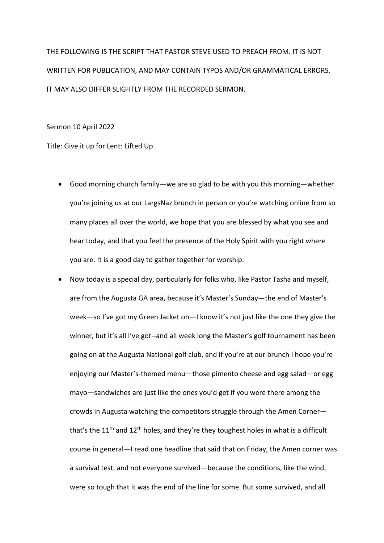THE FOLLOWING IS THE SCRIPT THAT PASTOR STEVE USED TO PREACH FROM. IT IS NOT WRITTEN FOR PUBLICATION, AND MAY CONTAIN TYPOS AND/OR GRAMMATICAL ERRORS. IT MAY ALSO DIFFER SLIGHTLY FROM THE RECORDED SERMON.

Sermon 10 April 2022

Title: Give it up for Lent: Lifted Up

- Good morning church family—we are so glad to be with you this morning—whether you're joining us at our LargsNaz brunch in person or you're watching online from so many places all over the world, we hope that you are blessed by what you see and hear today, and that you feel the presence of the Holy Spirit with you right where you are. It is a good day to gather together for worship.
- Now today is a special day, particularly for folks who, like Pastor Tasha and myself, are from the Augusta GA area, because it's Master's Sunday—the end of Master's week—so I've got my Green Jacket on—I know it's not just like the one they give the winner, but it's all I've got--and all week long the Master's golf tournament has been going on at the Augusta National golf club, and if you're at our brunch I hope you're enjoying our Master's-themed menu—those pimento cheese and egg salad—or egg mayo—sandwiches are just like the ones you'd get if you were there among the crowds in Augusta watching the competitors struggle through the Amen Corner that's the  $11<sup>th</sup>$  and  $12<sup>th</sup>$  holes, and they're they toughest holes in what is a difficult course in general—I read one headline that said that on Friday, the Amen corner was a survival test, and not everyone survived—because the conditions, like the wind, were so tough that it was the end of the line for some. But some survived, and all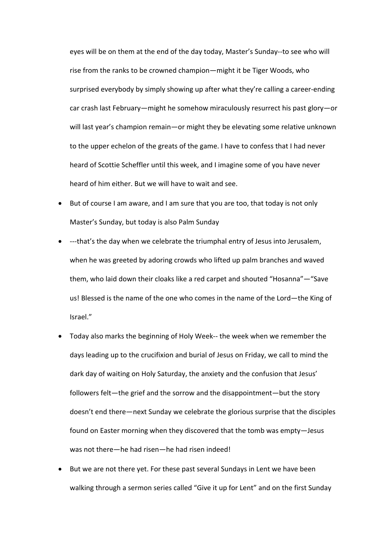eyes will be on them at the end of the day today, Master's Sunday--to see who will rise from the ranks to be crowned champion—might it be Tiger Woods, who surprised everybody by simply showing up after what they're calling a career-ending car crash last February—might he somehow miraculously resurrect his past glory—or will last year's champion remain—or might they be elevating some relative unknown to the upper echelon of the greats of the game. I have to confess that I had never heard of Scottie Scheffler until this week, and I imagine some of you have never heard of him either. But we will have to wait and see.

- But of course I am aware, and I am sure that you are too, that today is not only Master's Sunday, but today is also Palm Sunday
- ---that's the day when we celebrate the triumphal entry of Jesus into Jerusalem, when he was greeted by adoring crowds who lifted up palm branches and waved them, who laid down their cloaks like a red carpet and shouted "Hosanna"—"Save us! Blessed is the name of the one who comes in the name of the Lord—the King of Israel."
- Today also marks the beginning of Holy Week-- the week when we remember the days leading up to the crucifixion and burial of Jesus on Friday, we call to mind the dark day of waiting on Holy Saturday, the anxiety and the confusion that Jesus' followers felt—the grief and the sorrow and the disappointment—but the story doesn't end there—next Sunday we celebrate the glorious surprise that the disciples found on Easter morning when they discovered that the tomb was empty—Jesus was not there—he had risen—he had risen indeed!
- But we are not there yet. For these past several Sundays in Lent we have been walking through a sermon series called "Give it up for Lent" and on the first Sunday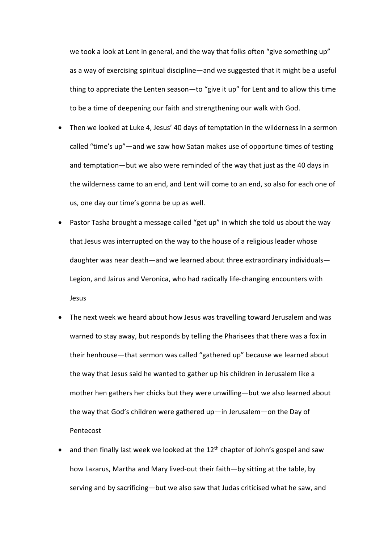we took a look at Lent in general, and the way that folks often "give something up" as a way of exercising spiritual discipline—and we suggested that it might be a useful thing to appreciate the Lenten season—to "give it up" for Lent and to allow this time to be a time of deepening our faith and strengthening our walk with God.

- Then we looked at Luke 4, Jesus' 40 days of temptation in the wilderness in a sermon called "time's up"—and we saw how Satan makes use of opportune times of testing and temptation—but we also were reminded of the way that just as the 40 days in the wilderness came to an end, and Lent will come to an end, so also for each one of us, one day our time's gonna be up as well.
- Pastor Tasha brought a message called "get up" in which she told us about the way that Jesus was interrupted on the way to the house of a religious leader whose daughter was near death—and we learned about three extraordinary individuals— Legion, and Jairus and Veronica, who had radically life-changing encounters with Jesus
- The next week we heard about how Jesus was travelling toward Jerusalem and was warned to stay away, but responds by telling the Pharisees that there was a fox in their henhouse—that sermon was called "gathered up" because we learned about the way that Jesus said he wanted to gather up his children in Jerusalem like a mother hen gathers her chicks but they were unwilling—but we also learned about the way that God's children were gathered up—in Jerusalem—on the Day of Pentecost
- and then finally last week we looked at the  $12<sup>th</sup>$  chapter of John's gospel and saw how Lazarus, Martha and Mary lived-out their faith—by sitting at the table, by serving and by sacrificing—but we also saw that Judas criticised what he saw, and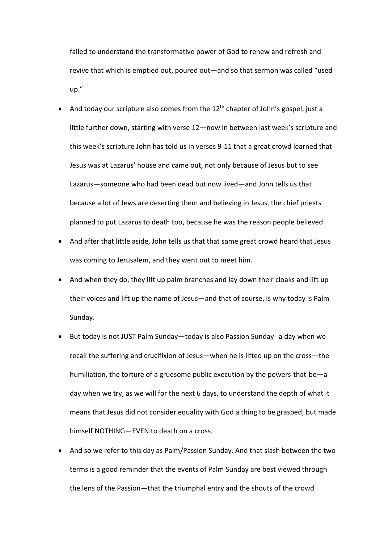failed to understand the transformative power of God to renew and refresh and revive that which is emptied out, poured out—and so that sermon was called "used up."

- And today our scripture also comes from the  $12<sup>th</sup>$  chapter of John's gospel, just a little further down, starting with verse 12—now in between last week's scripture and this week's scripture John has told us in verses 9-11 that a great crowd learned that Jesus was at Lazarus' house and came out, not only because of Jesus but to see Lazarus—someone who had been dead but now lived—and John tells us that because a lot of Jews are deserting them and believing in Jesus, the chief priests planned to put Lazarus to death too, because he was the reason people believed
- And after that little aside, John tells us that that same great crowd heard that Jesus was coming to Jerusalem, and they went out to meet him.
- And when they do, they lift up palm branches and lay down their cloaks and lift up their voices and lift up the name of Jesus—and that of course, is why today is Palm Sunday.
- But today is not JUST Palm Sunday—today is also Passion Sunday--a day when we recall the suffering and crucifixion of Jesus—when he is lifted up on the cross—the humiliation, the torture of a gruesome public execution by the powers-that-be—a day when we try, as we will for the next 6 days, to understand the depth of what it means that Jesus did not consider equality with God a thing to be grasped, but made himself NOTHING—EVEN to death on a cross.
- And so we refer to this day as Palm/Passion Sunday. And that slash between the two terms is a good reminder that the events of Palm Sunday are best viewed through the lens of the Passion—that the triumphal entry and the shouts of the crowd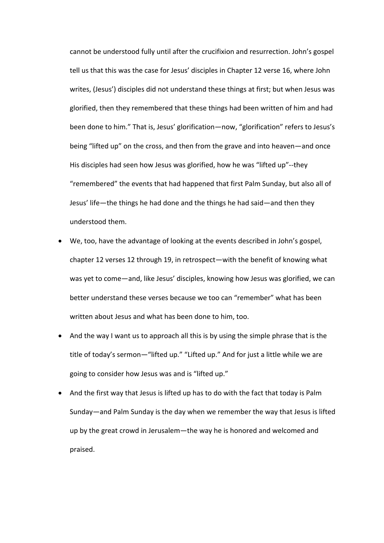cannot be understood fully until after the crucifixion and resurrection. John's gospel tell us that this was the case for Jesus' disciples in Chapter 12 verse 16, where John writes, (Jesus') disciples did not understand these things at first; but when Jesus was glorified, then they remembered that these things had been written of him and had been done to him." That is, Jesus' glorification—now, "glorification" refers to Jesus's being "lifted up" on the cross, and then from the grave and into heaven—and once His disciples had seen how Jesus was glorified, how he was "lifted up"--they "remembered" the events that had happened that first Palm Sunday, but also all of Jesus' life—the things he had done and the things he had said—and then they understood them.

- We, too, have the advantage of looking at the events described in John's gospel, chapter 12 verses 12 through 19, in retrospect—with the benefit of knowing what was yet to come—and, like Jesus' disciples, knowing how Jesus was glorified, we can better understand these verses because we too can "remember" what has been written about Jesus and what has been done to him, too.
- And the way I want us to approach all this is by using the simple phrase that is the title of today's sermon—"lifted up." "Lifted up." And for just a little while we are going to consider how Jesus was and is "lifted up."
- And the first way that Jesus is lifted up has to do with the fact that today is Palm Sunday—and Palm Sunday is the day when we remember the way that Jesus is lifted up by the great crowd in Jerusalem—the way he is honored and welcomed and praised.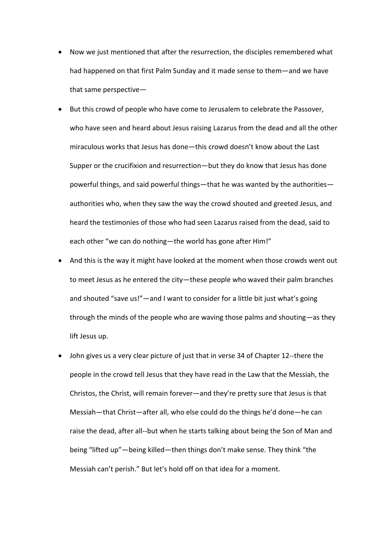- Now we just mentioned that after the resurrection, the disciples remembered what had happened on that first Palm Sunday and it made sense to them—and we have that same perspective—
- But this crowd of people who have come to Jerusalem to celebrate the Passover, who have seen and heard about Jesus raising Lazarus from the dead and all the other miraculous works that Jesus has done—this crowd doesn't know about the Last Supper or the crucifixion and resurrection—but they do know that Jesus has done powerful things, and said powerful things—that he was wanted by the authorities authorities who, when they saw the way the crowd shouted and greeted Jesus, and heard the testimonies of those who had seen Lazarus raised from the dead, said to each other "we can do nothing—the world has gone after Him!"
- And this is the way it might have looked at the moment when those crowds went out to meet Jesus as he entered the city—these people who waved their palm branches and shouted "save us!"—and I want to consider for a little bit just what's going through the minds of the people who are waving those palms and shouting—as they lift Jesus up.
- John gives us a very clear picture of just that in verse 34 of Chapter 12--there the people in the crowd tell Jesus that they have read in the Law that the Messiah, the Christos, the Christ, will remain forever—and they're pretty sure that Jesus is that Messiah—that Christ—after all, who else could do the things he'd done—he can raise the dead, after all--but when he starts talking about being the Son of Man and being "lifted up"—being killed—then things don't make sense. They think "the Messiah can't perish." But let's hold off on that idea for a moment.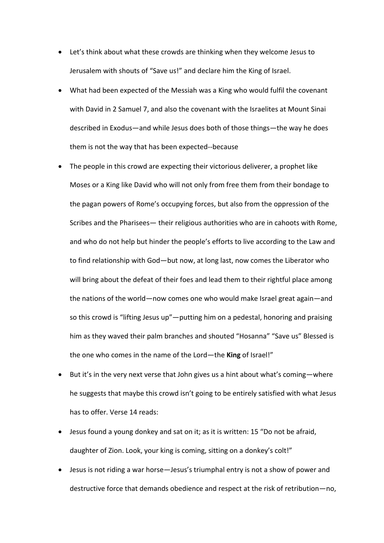- Let's think about what these crowds are thinking when they welcome Jesus to Jerusalem with shouts of "Save us!" and declare him the King of Israel.
- What had been expected of the Messiah was a King who would fulfil the covenant with David in 2 Samuel 7, and also the covenant with the Israelites at Mount Sinai described in Exodus—and while Jesus does both of those things—the way he does them is not the way that has been expected--because
- The people in this crowd are expecting their victorious deliverer, a prophet like Moses or a King like David who will not only from free them from their bondage to the pagan powers of Rome's occupying forces, but also from the oppression of the Scribes and the Pharisees— their religious authorities who are in cahoots with Rome, and who do not help but hinder the people's efforts to live according to the Law and to find relationship with God—but now, at long last, now comes the Liberator who will bring about the defeat of their foes and lead them to their rightful place among the nations of the world—now comes one who would make Israel great again—and so this crowd is "lifting Jesus up"—putting him on a pedestal, honoring and praising him as they waved their palm branches and shouted "Hosanna" "Save us" Blessed is the one who comes in the name of the Lord—the **King** of Israel!"
- But it's in the very next verse that John gives us a hint about what's coming—where he suggests that maybe this crowd isn't going to be entirely satisfied with what Jesus has to offer. Verse 14 reads:
- Jesus found a young donkey and sat on it; as it is written: 15 "Do not be afraid, daughter of Zion. Look, your king is coming, sitting on a donkey's colt!"
- Jesus is not riding a war horse—Jesus's triumphal entry is not a show of power and destructive force that demands obedience and respect at the risk of retribution—no,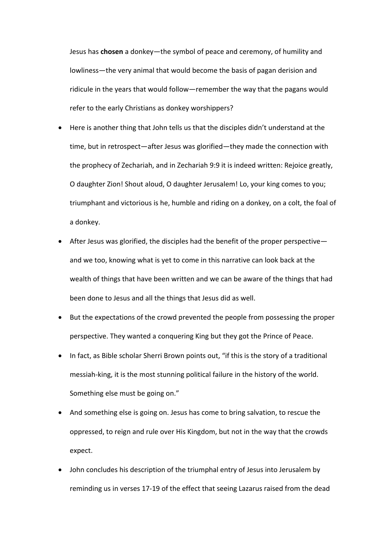Jesus has **chosen** a donkey—the symbol of peace and ceremony, of humility and lowliness—the very animal that would become the basis of pagan derision and ridicule in the years that would follow—remember the way that the pagans would refer to the early Christians as donkey worshippers?

- Here is another thing that John tells us that the disciples didn't understand at the time, but in retrospect—after Jesus was glorified—they made the connection with the prophecy of Zechariah, and in Zechariah 9:9 it is indeed written: Rejoice greatly, O daughter Zion! Shout aloud, O daughter Jerusalem! Lo, your king comes to you; triumphant and victorious is he, humble and riding on a donkey, on a colt, the foal of a donkey.
- After Jesus was glorified, the disciples had the benefit of the proper perspective and we too, knowing what is yet to come in this narrative can look back at the wealth of things that have been written and we can be aware of the things that had been done to Jesus and all the things that Jesus did as well.
- But the expectations of the crowd prevented the people from possessing the proper perspective. They wanted a conquering King but they got the Prince of Peace.
- In fact, as Bible scholar Sherri Brown points out, "if this is the story of a traditional messiah-king, it is the most stunning political failure in the history of the world. Something else must be going on."
- And something else is going on. Jesus has come to bring salvation, to rescue the oppressed, to reign and rule over His Kingdom, but not in the way that the crowds expect.
- John concludes his description of the triumphal entry of Jesus into Jerusalem by reminding us in verses 17-19 of the effect that seeing Lazarus raised from the dead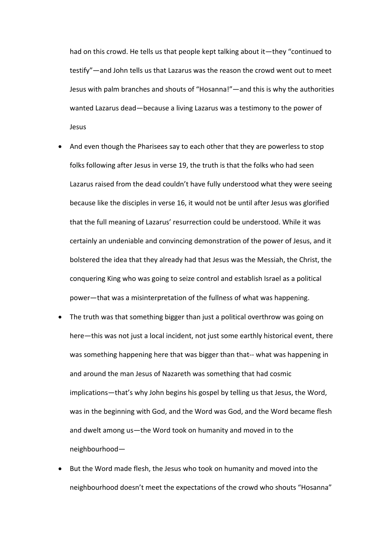had on this crowd. He tells us that people kept talking about it—they "continued to testify"—and John tells us that Lazarus was the reason the crowd went out to meet Jesus with palm branches and shouts of "Hosanna!"—and this is why the authorities wanted Lazarus dead—because a living Lazarus was a testimony to the power of Jesus

- And even though the Pharisees say to each other that they are powerless to stop folks following after Jesus in verse 19, the truth is that the folks who had seen Lazarus raised from the dead couldn't have fully understood what they were seeing because like the disciples in verse 16, it would not be until after Jesus was glorified that the full meaning of Lazarus' resurrection could be understood. While it was certainly an undeniable and convincing demonstration of the power of Jesus, and it bolstered the idea that they already had that Jesus was the Messiah, the Christ, the conquering King who was going to seize control and establish Israel as a political power—that was a misinterpretation of the fullness of what was happening.
- The truth was that something bigger than just a political overthrow was going on here—this was not just a local incident, not just some earthly historical event, there was something happening here that was bigger than that-- what was happening in and around the man Jesus of Nazareth was something that had cosmic implications—that's why John begins his gospel by telling us that Jesus, the Word, was in the beginning with God, and the Word was God, and the Word became flesh and dwelt among us—the Word took on humanity and moved in to the neighbourhood—
- But the Word made flesh, the Jesus who took on humanity and moved into the neighbourhood doesn't meet the expectations of the crowd who shouts "Hosanna"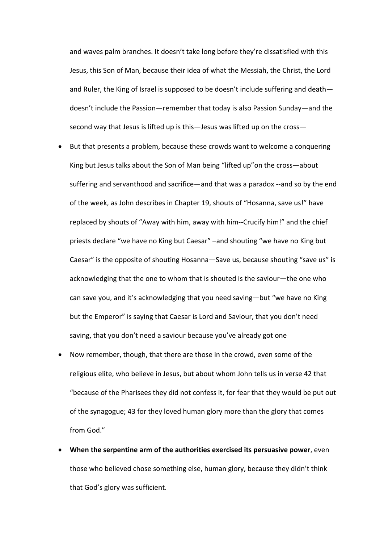and waves palm branches. It doesn't take long before they're dissatisfied with this Jesus, this Son of Man, because their idea of what the Messiah, the Christ, the Lord and Ruler, the King of Israel is supposed to be doesn't include suffering and death doesn't include the Passion—remember that today is also Passion Sunday—and the second way that Jesus is lifted up is this—Jesus was lifted up on the cross—

- But that presents a problem, because these crowds want to welcome a conquering King but Jesus talks about the Son of Man being "lifted up"on the cross—about suffering and servanthood and sacrifice—and that was a paradox --and so by the end of the week, as John describes in Chapter 19, shouts of "Hosanna, save us!" have replaced by shouts of "Away with him, away with him--Crucify him!" and the chief priests declare "we have no King but Caesar" –and shouting "we have no King but Caesar" is the opposite of shouting Hosanna—Save us, because shouting "save us" is acknowledging that the one to whom that is shouted is the saviour—the one who can save you, and it's acknowledging that you need saving—but "we have no King but the Emperor" is saying that Caesar is Lord and Saviour, that you don't need saving, that you don't need a saviour because you've already got one
- Now remember, though, that there are those in the crowd, even some of the religious elite, who believe in Jesus, but about whom John tells us in verse 42 that "because of the Pharisees they did not confess it, for fear that they would be put out of the synagogue; 43 for they loved human glory more than the glory that comes from God."
- **When the serpentine arm of the authorities exercised its persuasive power**, even those who believed chose something else, human glory, because they didn't think that God's glory was sufficient.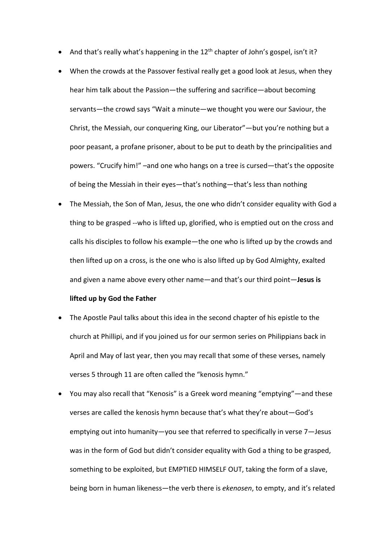- And that's really what's happening in the 12<sup>th</sup> chapter of John's gospel, isn't it?
- When the crowds at the Passover festival really get a good look at Jesus, when they hear him talk about the Passion—the suffering and sacrifice—about becoming servants—the crowd says "Wait a minute—we thought you were our Saviour, the Christ, the Messiah, our conquering King, our Liberator"—but you're nothing but a poor peasant, a profane prisoner, about to be put to death by the principalities and powers. "Crucify him!" –and one who hangs on a tree is cursed—that's the opposite of being the Messiah in their eyes—that's nothing—that's less than nothing
- The Messiah, the Son of Man, Jesus, the one who didn't consider equality with God a thing to be grasped --who is lifted up, glorified, who is emptied out on the cross and calls his disciples to follow his example—the one who is lifted up by the crowds and then lifted up on a cross, is the one who is also lifted up by God Almighty, exalted and given a name above every other name—and that's our third point—**Jesus is**

## **lifted up by God the Father**

- The Apostle Paul talks about this idea in the second chapter of his epistle to the church at Phillipi, and if you joined us for our sermon series on Philippians back in April and May of last year, then you may recall that some of these verses, namely verses 5 through 11 are often called the "kenosis hymn."
- You may also recall that "Kenosis" is a Greek word meaning "emptying"—and these verses are called the kenosis hymn because that's what they're about—God's emptying out into humanity—you see that referred to specifically in verse 7—Jesus was in the form of God but didn't consider equality with God a thing to be grasped, something to be exploited, but EMPTIED HIMSELF OUT, taking the form of a slave, being born in human likeness—the verb there is *ekenosen*, to empty, and it's related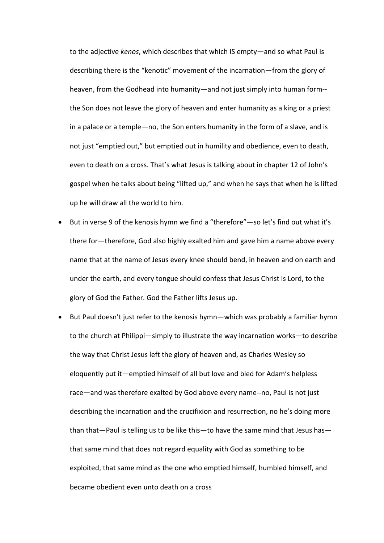to the adjective *kenos*, which describes that which IS empty—and so what Paul is describing there is the "kenotic" movement of the incarnation—from the glory of heaven, from the Godhead into humanity—and not just simply into human form- the Son does not leave the glory of heaven and enter humanity as a king or a priest in a palace or a temple—no, the Son enters humanity in the form of a slave, and is not just "emptied out," but emptied out in humility and obedience, even to death, even to death on a cross. That's what Jesus is talking about in chapter 12 of John's gospel when he talks about being "lifted up," and when he says that when he is lifted up he will draw all the world to him.

- But in verse 9 of the kenosis hymn we find a "therefore"—so let's find out what it's there for—therefore, God also highly exalted him and gave him a name above every name that at the name of Jesus every knee should bend, in heaven and on earth and under the earth, and every tongue should confess that Jesus Christ is Lord, to the glory of God the Father. God the Father lifts Jesus up.
- But Paul doesn't just refer to the kenosis hymn—which was probably a familiar hymn to the church at Philippi—simply to illustrate the way incarnation works—to describe the way that Christ Jesus left the glory of heaven and, as Charles Wesley so eloquently put it—emptied himself of all but love and bled for Adam's helpless race—and was therefore exalted by God above every name--no, Paul is not just describing the incarnation and the crucifixion and resurrection, no he's doing more than that—Paul is telling us to be like this—to have the same mind that Jesus has that same mind that does not regard equality with God as something to be exploited, that same mind as the one who emptied himself, humbled himself, and became obedient even unto death on a cross